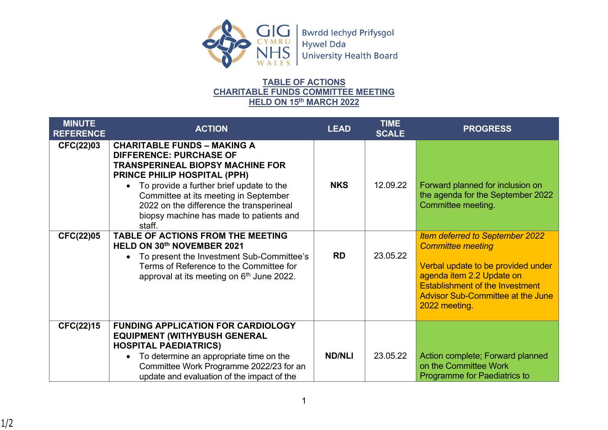

## **TABLE OF ACTIONS CHARITABLE FUNDS COMMITTEE MEETING HELD ON 15th MARCH 2022**

| <b>MINUTE</b><br><b>REFERENCE</b> | <b>ACTION</b>                                                                                                                                                                                                                                                                                                                           | <b>LEAD</b>   | <b>TIME</b><br><b>SCALE</b> | <b>PROGRESS</b>                                                                                                                                                                                                                              |
|-----------------------------------|-----------------------------------------------------------------------------------------------------------------------------------------------------------------------------------------------------------------------------------------------------------------------------------------------------------------------------------------|---------------|-----------------------------|----------------------------------------------------------------------------------------------------------------------------------------------------------------------------------------------------------------------------------------------|
| CFC(22)03                         | <b>CHARITABLE FUNDS - MAKING A</b><br><b>DIFFERENCE: PURCHASE OF</b><br><b>TRANSPERINEAL BIOPSY MACHINE FOR</b><br>PRINCE PHILIP HOSPITAL (PPH)<br>• To provide a further brief update to the<br>Committee at its meeting in September<br>2022 on the difference the transperineal<br>biopsy machine has made to patients and<br>staff. | <b>NKS</b>    | 12.09.22                    | Forward planned for inclusion on<br>the agenda for the September 2022<br>Committee meeting.                                                                                                                                                  |
| <b>CFC(22)05</b>                  | TABLE OF ACTIONS FROM THE MEETING<br>HELD ON 30th NOVEMBER 2021<br>To present the Investment Sub-Committee's<br>Terms of Reference to the Committee for<br>approval at its meeting on 6 <sup>th</sup> June 2022.                                                                                                                        | <b>RD</b>     | 23.05.22                    | <b>Item deferred to September 2022</b><br><b>Committee meeting</b><br>Verbal update to be provided under<br>agenda item 2.2 Update on<br><b>Establishment of the Investment</b><br><b>Advisor Sub-Committee at the June</b><br>2022 meeting. |
| CFC(22)15                         | <b>FUNDING APPLICATION FOR CARDIOLOGY</b><br><b>EQUIPMENT (WITHYBUSH GENERAL</b><br><b>HOSPITAL PAEDIATRICS)</b><br>To determine an appropriate time on the<br>Committee Work Programme 2022/23 for an<br>update and evaluation of the impact of the                                                                                    | <b>ND/NLI</b> | 23.05.22                    | Action complete; Forward planned<br>on the Committee Work<br>Programme for Paediatrics to                                                                                                                                                    |